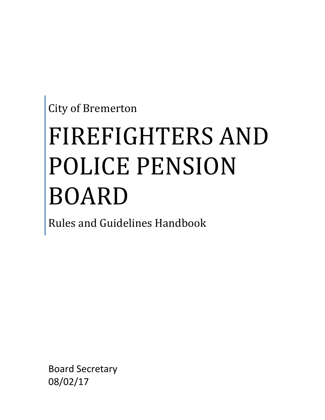City of Bremerton

# FIREFIGHTERS AND POLICE PENSION BOARD

Rules and Guidelines Handbook

Board Secretary 08/02/17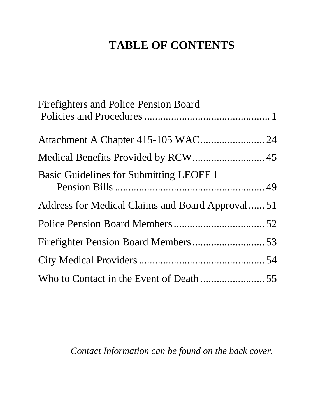# **TABLE OF CONTENTS**

| <b>Firefighters and Police Pension Board</b>    |  |
|-------------------------------------------------|--|
|                                                 |  |
|                                                 |  |
| <b>Basic Guidelines for Submitting LEOFF 1</b>  |  |
| Address for Medical Claims and Board Approval51 |  |
|                                                 |  |
|                                                 |  |
|                                                 |  |
|                                                 |  |

*Contact Information can be found on the back cover.*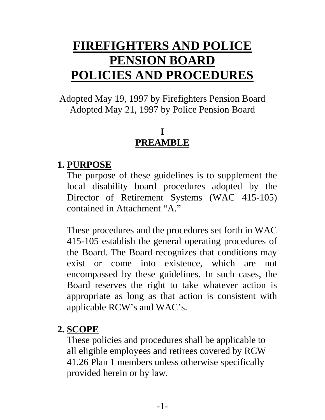# **FIREFIGHTERS AND POLICE PENSION BOARD POLICIES AND PROCEDURES**

Adopted May 19, 1997 by Firefighters Pension Board Adopted May 21, 1997 by Police Pension Board

#### **I PREAMBLE**

#### **1. PURPOSE**

The purpose of these guidelines is to supplement the local disability board procedures adopted by the Director of Retirement Systems (WAC 415-105) contained in Attachment "A."

These procedures and the procedures set forth in WAC 415-105 establish the general operating procedures of the Board. The Board recognizes that conditions may exist or come into existence, which are not encompassed by these guidelines. In such cases, the Board reserves the right to take whatever action is appropriate as long as that action is consistent with applicable RCW's and WAC's.

#### **2. SCOPE**

These policies and procedures shall be applicable to all eligible employees and retirees covered by RCW 41.26 Plan 1 members unless otherwise specifically provided herein or by law.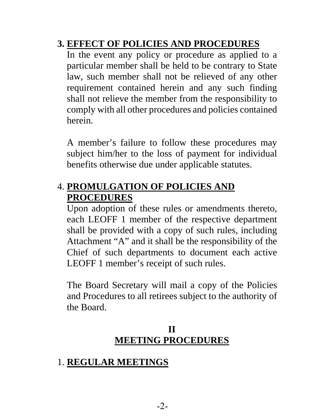#### **3. EFFECT OF POLICIES AND PROCEDURES**

In the event any policy or procedure as applied to a particular member shall be held to be contrary to State law, such member shall not be relieved of any other requirement contained herein and any such finding shall not relieve the member from the responsibility to comply with all other procedures and policies contained herein.

A member's failure to follow these procedures may subject him/her to the loss of payment for individual benefits otherwise due under applicable statutes.

#### 4. **PROMULGATION OF POLICIES AND PROCEDURES**

Upon adoption of these rules or amendments thereto, each LEOFF 1 member of the respective department shall be provided with a copy of such rules, including Attachment "A" and it shall be the responsibility of the Chief of such departments to document each active LEOFF 1 member's receipt of such rules.

The Board Secretary will mail a copy of the Policies and Procedures to all retirees subject to the authority of the Board.

#### **II MEETING PROCEDURES**

#### 1. **REGULAR MEETINGS**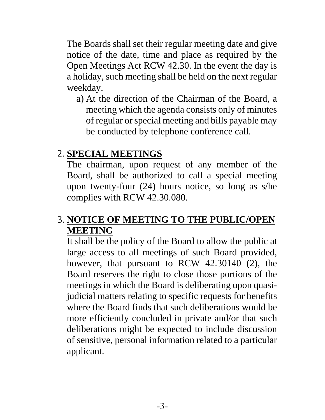The Boards shall set their regular meeting date and give notice of the date, time and place as required by the Open Meetings Act RCW 42.30. In the event the day is a holiday, such meeting shall be held on the next regular weekday.

a) At the direction of the Chairman of the Board, a meeting which the agenda consists only of minutes of regular or special meeting and bills payable may be conducted by telephone conference call.

#### 2. **SPECIAL MEETINGS**

The chairman, upon request of any member of the Board, shall be authorized to call a special meeting upon twenty-four (24) hours notice, so long as s/he complies with RCW 42.30.080.

#### 3. **NOTICE OF MEETING TO THE PUBLIC/OPEN MEETING**

It shall be the policy of the Board to allow the public at large access to all meetings of such Board provided, however, that pursuant to RCW 42.30140 (2), the Board reserves the right to close those portions of the meetings in which the Board is deliberating upon quasijudicial matters relating to specific requests for benefits where the Board finds that such deliberations would be more efficiently concluded in private and/or that such deliberations might be expected to include discussion of sensitive, personal information related to a particular applicant.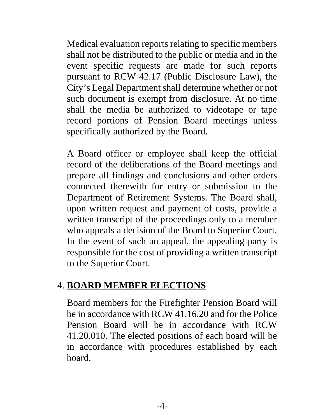Medical evaluation reports relating to specific members shall not be distributed to the public or media and in the event specific requests are made for such reports pursuant to RCW 42.17 (Public Disclosure Law), the City's Legal Department shall determine whether or not such document is exempt from disclosure. At no time shall the media be authorized to videotape or tape record portions of Pension Board meetings unless specifically authorized by the Board.

A Board officer or employee shall keep the official record of the deliberations of the Board meetings and prepare all findings and conclusions and other orders connected therewith for entry or submission to the Department of Retirement Systems. The Board shall, upon written request and payment of costs, provide a written transcript of the proceedings only to a member who appeals a decision of the Board to Superior Court. In the event of such an appeal, the appealing party is responsible for the cost of providing a written transcript to the Superior Court.

#### 4. **BOARD MEMBER ELECTIONS**

Board members for the Firefighter Pension Board will be in accordance with RCW 41.16.20 and for the Police Pension Board will be in accordance with RCW 41.20.010. The elected positions of each board will be in accordance with procedures established by each board.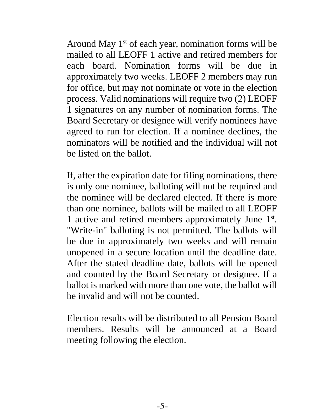Around May  $1<sup>st</sup>$  of each year, nomination forms will be mailed to all LEOFF 1 active and retired members for each board. Nomination forms will be due in approximately two weeks. LEOFF 2 members may run for office, but may not nominate or vote in the election process. Valid nominations will require two (2) LEOFF 1 signatures on any number of nomination forms. The Board Secretary or designee will verify nominees have agreed to run for election. If a nominee declines, the nominators will be notified and the individual will not be listed on the ballot.

If, after the expiration date for filing nominations, there is only one nominee, balloting will not be required and the nominee will be declared elected. If there is more than one nominee, ballots will be mailed to all LEOFF 1 active and retired members approximately June 1st. "Write-in" balloting is not permitted. The ballots will be due in approximately two weeks and will remain unopened in a secure location until the deadline date. After the stated deadline date, ballots will be opened and counted by the Board Secretary or designee. If a ballot is marked with more than one vote, the ballot will be invalid and will not be counted.

Election results will be distributed to all Pension Board members. Results will be announced at a Board meeting following the election.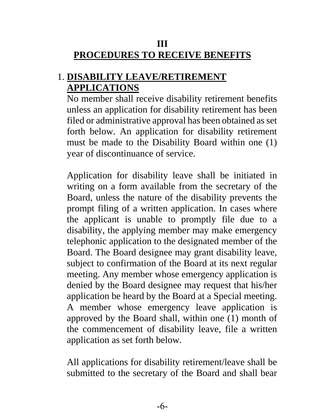#### **III PROCEDURES TO RECEIVE BENEFITS**

#### 1. **DISABILITY LEAVE/RETIREMENT APPLICATIONS**

No member shall receive disability retirement benefits unless an application for disability retirement has been filed or administrative approval has been obtained as set forth below. An application for disability retirement must be made to the Disability Board within one (1) year of discontinuance of service.

Application for disability leave shall be initiated in writing on a form available from the secretary of the Board, unless the nature of the disability prevents the prompt filing of a written application. In cases where the applicant is unable to promptly file due to a disability, the applying member may make emergency telephonic application to the designated member of the Board. The Board designee may grant disability leave, subject to confirmation of the Board at its next regular meeting. Any member whose emergency application is denied by the Board designee may request that his/her application be heard by the Board at a Special meeting. A member whose emergency leave application is approved by the Board shall, within one (1) month of the commencement of disability leave, file a written application as set forth below.

All applications for disability retirement/leave shall be submitted to the secretary of the Board and shall bear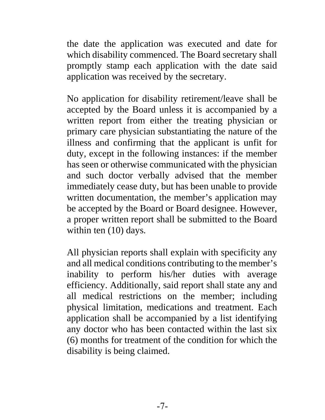the date the application was executed and date for which disability commenced. The Board secretary shall promptly stamp each application with the date said application was received by the secretary.

No application for disability retirement/leave shall be accepted by the Board unless it is accompanied by a written report from either the treating physician or primary care physician substantiating the nature of the illness and confirming that the applicant is unfit for duty, except in the following instances: if the member has seen or otherwise communicated with the physician and such doctor verbally advised that the member immediately cease duty, but has been unable to provide written documentation, the member's application may be accepted by the Board or Board designee. However, a proper written report shall be submitted to the Board within ten  $(10)$  days.

All physician reports shall explain with specificity any and all medical conditions contributing to the member's inability to perform his/her duties with average efficiency. Additionally, said report shall state any and all medical restrictions on the member; including physical limitation, medications and treatment. Each application shall be accompanied by a list identifying any doctor who has been contacted within the last six (6) months for treatment of the condition for which the disability is being claimed.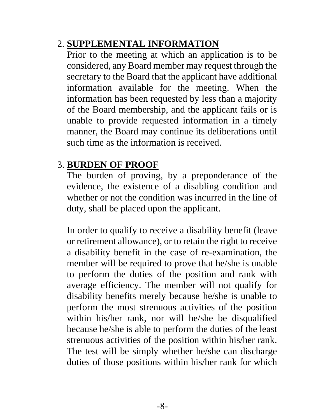#### 2. **SUPPLEMENTAL INFORMATION**

Prior to the meeting at which an application is to be considered, any Board member may request through the secretary to the Board that the applicant have additional information available for the meeting. When the information has been requested by less than a majority of the Board membership, and the applicant fails or is unable to provide requested information in a timely manner, the Board may continue its deliberations until such time as the information is received.

#### 3. **BURDEN OF PROOF**

The burden of proving, by a preponderance of the evidence, the existence of a disabling condition and whether or not the condition was incurred in the line of duty, shall be placed upon the applicant.

In order to qualify to receive a disability benefit (leave or retirement allowance), or to retain the right to receive a disability benefit in the case of re-examination, the member will be required to prove that he/she is unable to perform the duties of the position and rank with average efficiency. The member will not qualify for disability benefits merely because he/she is unable to perform the most strenuous activities of the position within his/her rank, nor will he/she be disqualified because he/she is able to perform the duties of the least strenuous activities of the position within his/her rank. The test will be simply whether he/she can discharge duties of those positions within his/her rank for which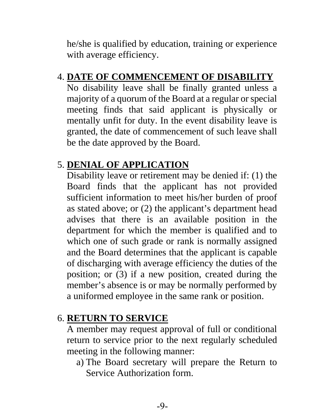he/she is qualified by education, training or experience with average efficiency.

#### 4. **DATE OF COMMENCEMENT OF DISABILITY**

No disability leave shall be finally granted unless a majority of a quorum of the Board at a regular or special meeting finds that said applicant is physically or mentally unfit for duty. In the event disability leave is granted, the date of commencement of such leave shall be the date approved by the Board.

#### 5. **DENIAL OF APPLICATION**

Disability leave or retirement may be denied if: (1) the Board finds that the applicant has not provided sufficient information to meet his/her burden of proof as stated above; or (2) the applicant's department head advises that there is an available position in the department for which the member is qualified and to which one of such grade or rank is normally assigned and the Board determines that the applicant is capable of discharging with average efficiency the duties of the position; or (3) if a new position, created during the member's absence is or may be normally performed by a uniformed employee in the same rank or position.

#### 6. **RETURN TO SERVICE**

A member may request approval of full or conditional return to service prior to the next regularly scheduled meeting in the following manner:

a) The Board secretary will prepare the Return to Service Authorization form.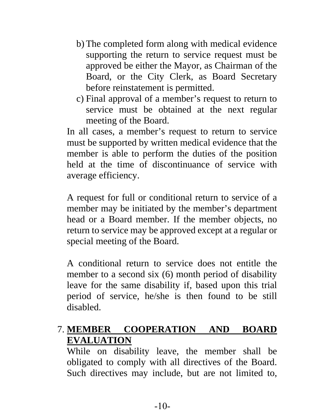- b) The completed form along with medical evidence supporting the return to service request must be approved be either the Mayor, as Chairman of the Board, or the City Clerk, as Board Secretary before reinstatement is permitted.
- c) Final approval of a member's request to return to service must be obtained at the next regular meeting of the Board.

In all cases, a member's request to return to service must be supported by written medical evidence that the member is able to perform the duties of the position held at the time of discontinuance of service with average efficiency.

A request for full or conditional return to service of a member may be initiated by the member's department head or a Board member. If the member objects, no return to service may be approved except at a regular or special meeting of the Board.

A conditional return to service does not entitle the member to a second six (6) month period of disability leave for the same disability if, based upon this trial period of service, he/she is then found to be still disabled.

#### 7. **MEMBER COOPERATION AND BOARD EVALUATION**

While on disability leave, the member shall be obligated to comply with all directives of the Board. Such directives may include, but are not limited to,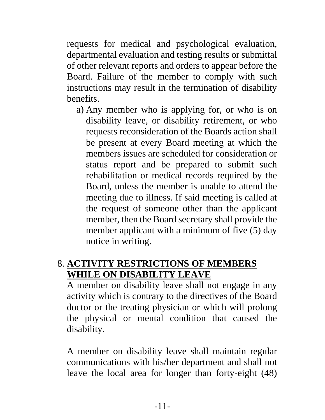requests for medical and psychological evaluation, departmental evaluation and testing results or submittal of other relevant reports and orders to appear before the Board. Failure of the member to comply with such instructions may result in the termination of disability benefits.

a) Any member who is applying for, or who is on disability leave, or disability retirement, or who requests reconsideration of the Boards action shall be present at every Board meeting at which the members issues are scheduled for consideration or status report and be prepared to submit such rehabilitation or medical records required by the Board, unless the member is unable to attend the meeting due to illness. If said meeting is called at the request of someone other than the applicant member, then the Board secretary shall provide the member applicant with a minimum of five (5) day notice in writing.

#### 8. **ACTIVITY RESTRICTIONS OF MEMBERS WHILE ON DISABILITY LEAVE**

A member on disability leave shall not engage in any activity which is contrary to the directives of the Board doctor or the treating physician or which will prolong the physical or mental condition that caused the disability.

A member on disability leave shall maintain regular communications with his/her department and shall not leave the local area for longer than forty-eight (48)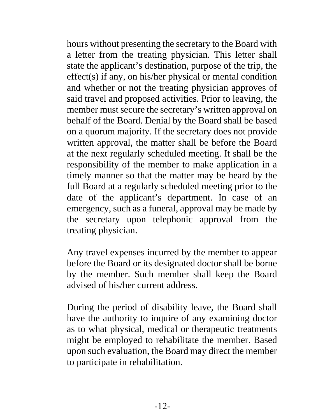hours without presenting the secretary to the Board with a letter from the treating physician. This letter shall state the applicant's destination, purpose of the trip, the effect(s) if any, on his/her physical or mental condition and whether or not the treating physician approves of said travel and proposed activities. Prior to leaving, the member must secure the secretary's written approval on behalf of the Board. Denial by the Board shall be based on a quorum majority. If the secretary does not provide written approval, the matter shall be before the Board at the next regularly scheduled meeting. It shall be the responsibility of the member to make application in a timely manner so that the matter may be heard by the full Board at a regularly scheduled meeting prior to the date of the applicant's department. In case of an emergency, such as a funeral, approval may be made by the secretary upon telephonic approval from the treating physician.

Any travel expenses incurred by the member to appear before the Board or its designated doctor shall be borne by the member. Such member shall keep the Board advised of his/her current address.

During the period of disability leave, the Board shall have the authority to inquire of any examining doctor as to what physical, medical or therapeutic treatments might be employed to rehabilitate the member. Based upon such evaluation, the Board may direct the member to participate in rehabilitation.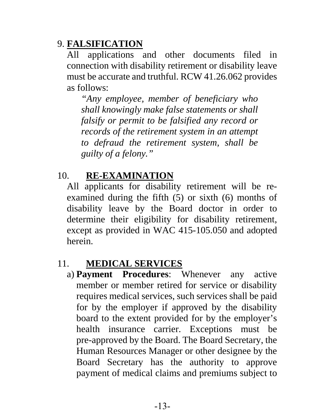#### 9. **FALSIFICATION**

All applications and other documents filed in connection with disability retirement or disability leave must be accurate and truthful. RCW 41.26.062 provides as follows:

*"Any employee, member of beneficiary who shall knowingly make false statements or shall falsify or permit to be falsified any record or records of the retirement system in an attempt to defraud the retirement system, shall be guilty of a felony."*

#### 10. **RE-EXAMINATION**

All applicants for disability retirement will be reexamined during the fifth (5) or sixth (6) months of disability leave by the Board doctor in order to determine their eligibility for disability retirement, except as provided in WAC 415-105.050 and adopted herein.

#### 11. **MEDICAL SERVICES**

a) **Payment Procedures**: Whenever any active member or member retired for service or disability requires medical services, such services shall be paid for by the employer if approved by the disability board to the extent provided for by the employer's health insurance carrier. Exceptions must be pre-approved by the Board. The Board Secretary, the Human Resources Manager or other designee by the Board Secretary has the authority to approve payment of medical claims and premiums subject to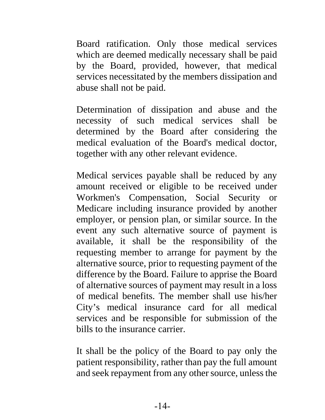Board ratification. Only those medical services which are deemed medically necessary shall be paid by the Board, provided, however, that medical services necessitated by the members dissipation and abuse shall not be paid.

Determination of dissipation and abuse and the necessity of such medical services shall be determined by the Board after considering the medical evaluation of the Board's medical doctor, together with any other relevant evidence.

Medical services payable shall be reduced by any amount received or eligible to be received under Workmen's Compensation, Social Security or Medicare including insurance provided by another employer, or pension plan, or similar source. In the event any such alternative source of payment is available, it shall be the responsibility of the requesting member to arrange for payment by the alternative source, prior to requesting payment of the difference by the Board. Failure to apprise the Board of alternative sources of payment may result in a loss of medical benefits. The member shall use his/her City's medical insurance card for all medical services and be responsible for submission of the bills to the insurance carrier.

It shall be the policy of the Board to pay only the patient responsibility, rather than pay the full amount and seek repayment from any other source, unless the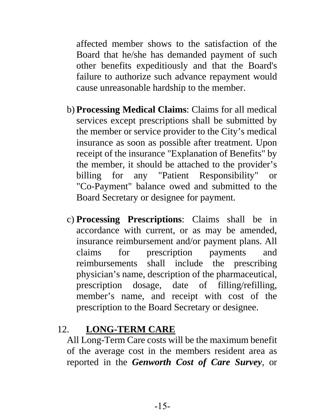affected member shows to the satisfaction of the Board that he/she has demanded payment of such other benefits expeditiously and that the Board's failure to authorize such advance repayment would cause unreasonable hardship to the member.

- b) **Processing Medical Claims**: Claims for all medical services except prescriptions shall be submitted by the member or service provider to the City's medical insurance as soon as possible after treatment. Upon receipt of the insurance "Explanation of Benefits" by the member, it should be attached to the provider's billing for any "Patient Responsibility" or "Co-Payment" balance owed and submitted to the Board Secretary or designee for payment.
- c) **Processing Prescriptions**: Claims shall be in accordance with current, or as may be amended, insurance reimbursement and/or payment plans. All claims for prescription payments and reimbursements shall include the prescribing physician's name, description of the pharmaceutical, prescription dosage, date of filling/refilling, member's name, and receipt with cost of the prescription to the Board Secretary or designee.

#### 12. **LONG-TERM CARE**

All Long-Term Care costs will be the maximum benefit of the average cost in the members resident area as reported in the *Genworth Cost of Care Survey*, or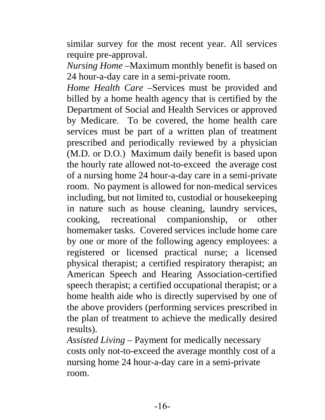similar survey for the most recent year. All services require pre-approval.

*Nursing Home* –Maximum monthly benefit is based on 24 hour-a-day care in a semi-private room.

*Home Health Care* –Services must be provided and billed by a home health agency that is certified by the Department of Social and Health Services or approved by Medicare. To be covered, the home health care services must be part of a written plan of treatment prescribed and periodically reviewed by a physician (M.D. or D.O.) Maximum daily benefit is based upon the hourly rate allowed not-to-exceed the average cost of a nursing home 24 hour-a-day care in a semi-private room. No payment is allowed for non-medical services including, but not limited to, custodial or housekeeping in nature such as house cleaning, laundry services, cooking, recreational companionship, or other homemaker tasks. Covered services include home care by one or more of the following agency employees: a registered or licensed practical nurse; a licensed physical therapist; a certified respiratory therapist; an American Speech and Hearing Association-certified speech therapist; a certified occupational therapist; or a home health aide who is directly supervised by one of the above providers (performing services prescribed in the plan of treatment to achieve the medically desired results).

*Assisted Living* – Payment for medically necessary costs only not-to-exceed the average monthly cost of a nursing home 24 hour-a-day care in a semi-private room.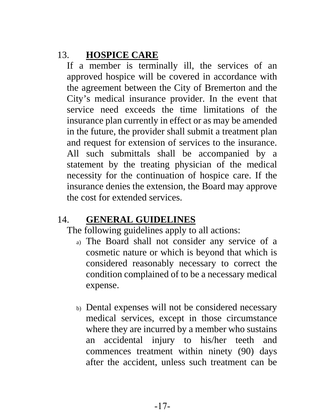#### 13. **HOSPICE CARE**

If a member is terminally ill, the services of an approved hospice will be covered in accordance with the agreement between the City of Bremerton and the City's medical insurance provider. In the event that service need exceeds the time limitations of the insurance plan currently in effect or as may be amended in the future, the provider shall submit a treatment plan and request for extension of services to the insurance. All such submittals shall be accompanied by a statement by the treating physician of the medical necessity for the continuation of hospice care. If the insurance denies the extension, the Board may approve the cost for extended services.

#### 14. **GENERAL GUIDELINES**

The following guidelines apply to all actions:

- a) The Board shall not consider any service of a cosmetic nature or which is beyond that which is considered reasonably necessary to correct the condition complained of to be a necessary medical expense.
- b) Dental expenses will not be considered necessary medical services, except in those circumstance where they are incurred by a member who sustains an accidental injury to his/her teeth and commences treatment within ninety (90) days after the accident, unless such treatment can be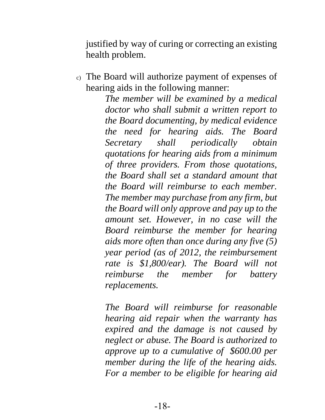justified by way of curing or correcting an existing health problem.

c) The Board will authorize payment of expenses of hearing aids in the following manner:

> *The member will be examined by a medical doctor who shall submit a written report to the Board documenting, by medical evidence the need for hearing aids. The Board Secretary shall periodically obtain quotations for hearing aids from a minimum of three providers. From those quotations, the Board shall set a standard amount that the Board will reimburse to each member. The member may purchase from any firm, but the Board will only approve and pay up to the amount set. However, in no case will the Board reimburse the member for hearing aids more often than once during any five (5) year period (as of 2012, the reimbursement rate is \$1,800/ear). The Board will not reimburse the member for battery replacements.*

> *The Board will reimburse for reasonable hearing aid repair when the warranty has expired and the damage is not caused by neglect or abuse. The Board is authorized to approve up to a cumulative of \$600.00 per member during the life of the hearing aids. For a member to be eligible for hearing aid*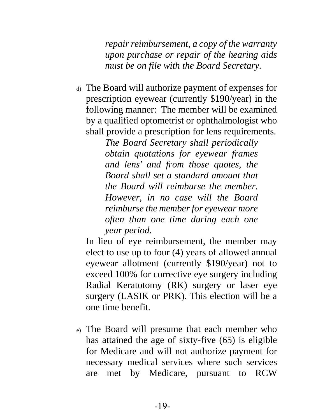*repair reimbursement, a copy of the warranty upon purchase or repair of the hearing aids must be on file with the Board Secretary.*

d) The Board will authorize payment of expenses for prescription eyewear (currently \$190/year) in the following manner: The member will be examined by a qualified optometrist or ophthalmologist who shall provide a prescription for lens requirements.

*The Board Secretary shall periodically obtain quotations for eyewear frames and lens' and from those quotes, the Board shall set a standard amount that the Board will reimburse the member. However, in no case will the Board reimburse the member for eyewear more often than one time during each one year period*.

In lieu of eye reimbursement, the member may elect to use up to four (4) years of allowed annual eyewear allotment (currently \$190/year) not to exceed 100% for corrective eye surgery including Radial Keratotomy (RK) surgery or laser eye surgery (LASIK or PRK). This election will be a one time benefit.

e) The Board will presume that each member who has attained the age of sixty-five (65) is eligible for Medicare and will not authorize payment for necessary medical services where such services are met by Medicare, pursuant to RCW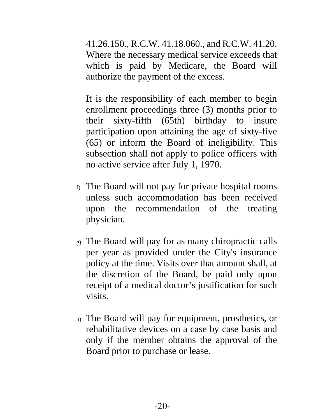41.26.150., R.C.W. 41.18.060., and R.C.W. 41.20. Where the necessary medical service exceeds that which is paid by Medicare, the Board will authorize the payment of the excess.

It is the responsibility of each member to begin enrollment proceedings three (3) months prior to their sixty-fifth (65th) birthday to insure participation upon attaining the age of sixty-five (65) or inform the Board of ineligibility. This subsection shall not apply to police officers with no active service after July 1, 1970.

- f) The Board will not pay for private hospital rooms unless such accommodation has been received upon the recommendation of the treating physician.
- g) The Board will pay for as many chiropractic calls per year as provided under the City's insurance policy at the time. Visits over that amount shall, at the discretion of the Board, be paid only upon receipt of a medical doctor's justification for such visits.
- h) The Board will pay for equipment, prosthetics, or rehabilitative devices on a case by case basis and only if the member obtains the approval of the Board prior to purchase or lease.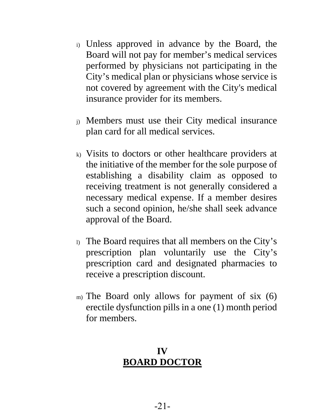- i) Unless approved in advance by the Board, the Board will not pay for member's medical services performed by physicians not participating in the City's medical plan or physicians whose service is not covered by agreement with the City's medical insurance provider for its members.
- j) Members must use their City medical insurance plan card for all medical services.
- k) Visits to doctors or other healthcare providers at the initiative of the member for the sole purpose of establishing a disability claim as opposed to receiving treatment is not generally considered a necessary medical expense. If a member desires such a second opinion, he/she shall seek advance approval of the Board.
- l) The Board requires that all members on the City's prescription plan voluntarily use the City's prescription card and designated pharmacies to receive a prescription discount.
- m) The Board only allows for payment of six (6) erectile dysfunction pills in a one (1) month period for members.

#### **IV BOARD DOCTOR**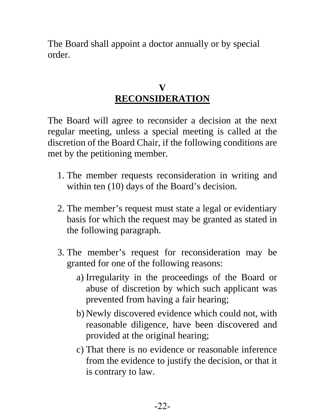The Board shall appoint a doctor annually or by special order.

#### **V RECONSIDERATION**

The Board will agree to reconsider a decision at the next regular meeting, unless a special meeting is called at the discretion of the Board Chair, if the following conditions are met by the petitioning member.

- 1. The member requests reconsideration in writing and within ten (10) days of the Board's decision.
- 2. The member's request must state a legal or evidentiary basis for which the request may be granted as stated in the following paragraph.
- 3. The member's request for reconsideration may be granted for one of the following reasons:
	- a) Irregularity in the proceedings of the Board or abuse of discretion by which such applicant was prevented from having a fair hearing;
	- b) Newly discovered evidence which could not, with reasonable diligence, have been discovered and provided at the original hearing;
	- c) That there is no evidence or reasonable inference from the evidence to justify the decision, or that it is contrary to law.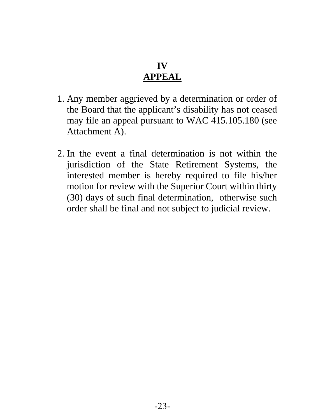#### **IV APPEAL**

- 1. Any member aggrieved by a determination or order of the Board that the applicant's disability has not ceased may file an appeal pursuant to WAC 415.105.180 (see Attachment A).
- 2. In the event a final determination is not within the jurisdiction of the State Retirement Systems, the interested member is hereby required to file his/her motion for review with the Superior Court within thirty (30) days of such final determination, otherwise such order shall be final and not subject to judicial review.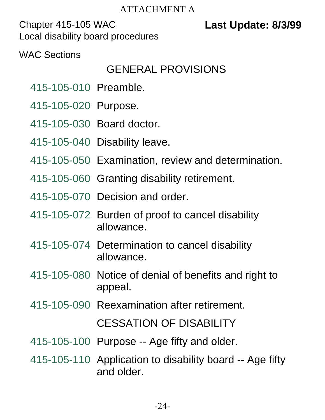#### ATTACHMENT A

Chapter 415-105 WAC **Last Update: 8/3/99** Local disability board procedures

WAC Sections

# GENERAL PROVISIONS

- 415-105-010 Preamble.
- 415-105-020 Purpose.
- 415-105-030 Board doctor.
- 415-105-040 Disability leave.
- 415-105-050 Examination, review and determination.
- 415-105-060 Granting disability retirement.
- 415-105-070 Decision and order.
- 415-105-072 Burden of proof to cancel disability allowance.
- 415-105-074 Determination to cancel disability allowance.
- 415-105-080 Notice of denial of benefits and right to appeal.
- 415-105-090 Reexamination after retirement.

CESSATION OF DISABILITY

- 415-105-100 Purpose -- Age fifty and older.
- 415-105-110 Application to disability board -- Age fifty and older.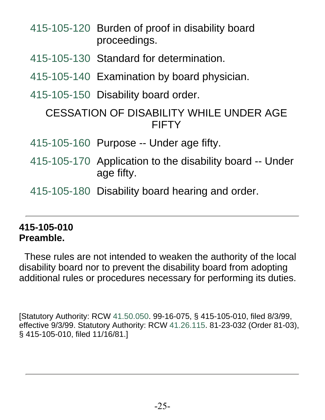|                                                         |  | proceedings.                                                           |
|---------------------------------------------------------|--|------------------------------------------------------------------------|
|                                                         |  | 415-105-130 Standard for determination.                                |
|                                                         |  | 415-105-140 Examination by board physician.                            |
|                                                         |  | 415-105-150 Disability board order.                                    |
| CESSATION OF DISABILITY WHILE UNDER AGE<br><b>FIFTY</b> |  |                                                                        |
|                                                         |  | 415-105-160 Purpose -- Under age fifty.                                |
|                                                         |  | 415-105-170 Application to the disability board -- Under<br>age fifty. |
|                                                         |  | 415-105-180 Disability board hearing and order.                        |
|                                                         |  |                                                                        |

415-105-120 Burden of proof in disability board

#### **415-105-010 Preamble.**

 These rules are not intended to weaken the authority of the local disability board nor to prevent the disability board from adopting additional rules or procedures necessary for performing its duties.

[Statutory Authority: RCW 41.50.050. 99-16-075, § 415-105-010, filed 8/3/99, effective 9/3/99. Statutory Authority: RCW 41.26.115. 81-23-032 (Order 81-03), § 415-105-010, filed 11/16/81.]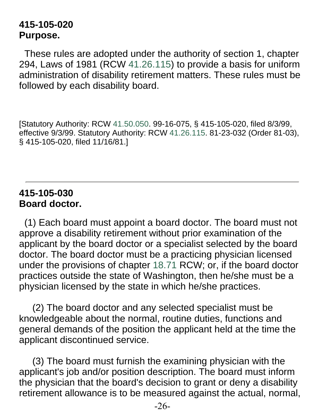#### **415-105-020 Purpose.**

 These rules are adopted under the authority of section 1, chapter 294, Laws of 1981 (RCW 41.26.115) to provide a basis for uniform administration of disability retirement matters. These rules must be followed by each disability board.

[Statutory Authority: RCW 41.50.050. 99-16-075, § 415-105-020, filed 8/3/99, effective 9/3/99. Statutory Authority: RCW 41.26.115. 81-23-032 (Order 81-03), § 415-105-020, filed 11/16/81.]

#### **415-105-030 Board doctor.**

 (1) Each board must appoint a board doctor. The board must not approve a disability retirement without prior examination of the applicant by the board doctor or a specialist selected by the board doctor. The board doctor must be a practicing physician licensed under the provisions of chapter 18.71 RCW; or, if the board doctor practices outside the state of Washington, then he/she must be a physician licensed by the state in which he/she practices.

 (2) The board doctor and any selected specialist must be knowledgeable about the normal, routine duties, functions and general demands of the position the applicant held at the time the applicant discontinued service.

 (3) The board must furnish the examining physician with the applicant's job and/or position description. The board must inform the physician that the board's decision to grant or deny a disability retirement allowance is to be measured against the actual, normal,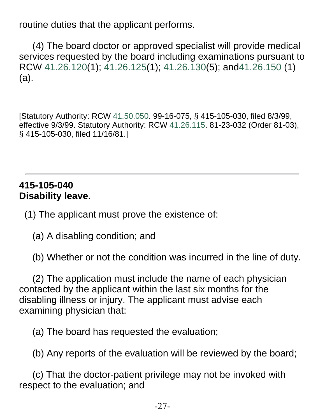routine duties that the applicant performs.

 (4) The board doctor or approved specialist will provide medical services requested by the board including examinations pursuant to RCW 41.26.120(1); 41.26.125(1); 41.26.130(5); and41.26.150 (1) (a).

[Statutory Authority: RCW 41.50.050. 99-16-075, § 415-105-030, filed 8/3/99, effective 9/3/99. Statutory Authority: RCW 41.26.115. 81-23-032 (Order 81-03), § 415-105-030, filed 11/16/81.]

#### **415-105-040 Disability leave.**

(1) The applicant must prove the existence of:

(a) A disabling condition; and

(b) Whether or not the condition was incurred in the line of duty.

 (2) The application must include the name of each physician contacted by the applicant within the last six months for the disabling illness or injury. The applicant must advise each examining physician that:

(a) The board has requested the evaluation;

(b) Any reports of the evaluation will be reviewed by the board;

 (c) That the doctor-patient privilege may not be invoked with respect to the evaluation; and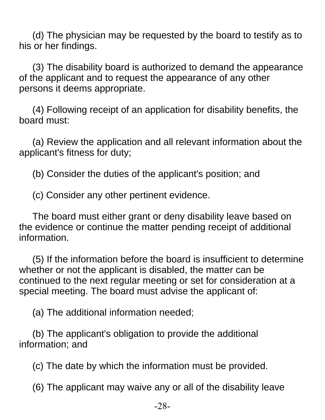(d) The physician may be requested by the board to testify as to his or her findings.

 (3) The disability board is authorized to demand the appearance of the applicant and to request the appearance of any other persons it deems appropriate.

 (4) Following receipt of an application for disability benefits, the board must:

 (a) Review the application and all relevant information about the applicant's fitness for duty;

(b) Consider the duties of the applicant's position; and

(c) Consider any other pertinent evidence.

 The board must either grant or deny disability leave based on the evidence or continue the matter pending receipt of additional information.

 (5) If the information before the board is insufficient to determine whether or not the applicant is disabled, the matter can be continued to the next regular meeting or set for consideration at a special meeting. The board must advise the applicant of:

(a) The additional information needed;

 (b) The applicant's obligation to provide the additional information; and

(c) The date by which the information must be provided.

(6) The applicant may waive any or all of the disability leave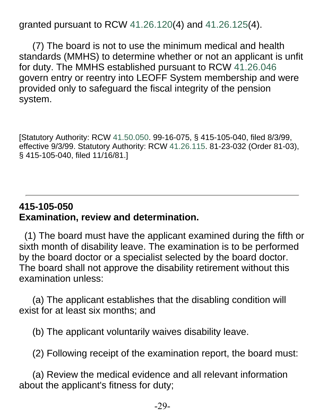granted pursuant to RCW 41.26.120(4) and 41.26.125(4).

 (7) The board is not to use the minimum medical and health standards (MMHS) to determine whether or not an applicant is unfit for duty. The MMHS established pursuant to RCW 41.26.046 govern entry or reentry into LEOFF System membership and were provided only to safeguard the fiscal integrity of the pension system.

[Statutory Authority: RCW 41.50.050. 99-16-075, § 415-105-040, filed 8/3/99, effective 9/3/99. Statutory Authority: RCW 41.26.115. 81-23-032 (Order 81-03), § 415-105-040, filed 11/16/81.]

#### **415-105-050 Examination, review and determination.**

 (1) The board must have the applicant examined during the fifth or sixth month of disability leave. The examination is to be performed by the board doctor or a specialist selected by the board doctor. The board shall not approve the disability retirement without this examination unless:

 (a) The applicant establishes that the disabling condition will exist for at least six months; and

(b) The applicant voluntarily waives disability leave.

(2) Following receipt of the examination report, the board must:

 (a) Review the medical evidence and all relevant information about the applicant's fitness for duty;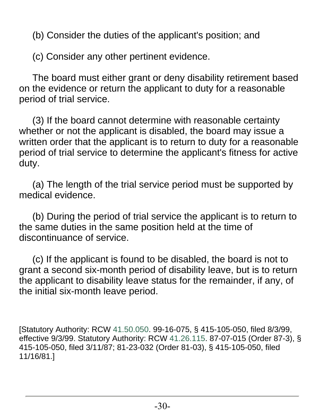(b) Consider the duties of the applicant's position; and

(c) Consider any other pertinent evidence.

 The board must either grant or deny disability retirement based on the evidence or return the applicant to duty for a reasonable period of trial service.

 (3) If the board cannot determine with reasonable certainty whether or not the applicant is disabled, the board may issue a written order that the applicant is to return to duty for a reasonable period of trial service to determine the applicant's fitness for active duty.

 (a) The length of the trial service period must be supported by medical evidence.

 (b) During the period of trial service the applicant is to return to the same duties in the same position held at the time of discontinuance of service.

 (c) If the applicant is found to be disabled, the board is not to grant a second six-month period of disability leave, but is to return the applicant to disability leave status for the remainder, if any, of the initial six-month leave period.

[Statutory Authority: RCW 41.50.050. 99-16-075, § 415-105-050, filed 8/3/99, effective 9/3/99. Statutory Authority: RCW 41.26.115. 87-07-015 (Order 87-3), § 415-105-050, filed 3/11/87; 81-23-032 (Order 81-03), § 415-105-050, filed 11/16/81.]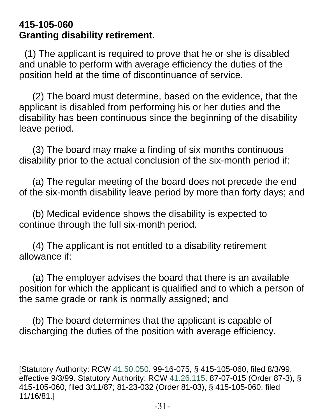#### **415-105-060 Granting disability retirement.**

 (1) The applicant is required to prove that he or she is disabled and unable to perform with average efficiency the duties of the position held at the time of discontinuance of service.

 (2) The board must determine, based on the evidence, that the applicant is disabled from performing his or her duties and the disability has been continuous since the beginning of the disability leave period.

 (3) The board may make a finding of six months continuous disability prior to the actual conclusion of the six-month period if:

 (a) The regular meeting of the board does not precede the end of the six-month disability leave period by more than forty days; and

 (b) Medical evidence shows the disability is expected to continue through the full six-month period.

 (4) The applicant is not entitled to a disability retirement allowance if:

 (a) The employer advises the board that there is an available position for which the applicant is qualified and to which a person of the same grade or rank is normally assigned; and

 (b) The board determines that the applicant is capable of discharging the duties of the position with average efficiency.

[Statutory Authority: RCW 41.50.050. 99-16-075, § 415-105-060, filed 8/3/99, effective 9/3/99. Statutory Authority: RCW 41.26.115. 87-07-015 (Order 87-3), § 415-105-060, filed 3/11/87; 81-23-032 (Order 81-03), § 415-105-060, filed 11/16/81.]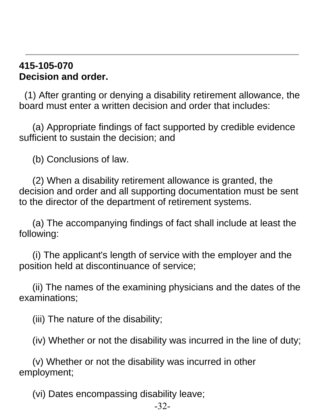#### **415-105-070 Decision and order.**

 (1) After granting or denying a disability retirement allowance, the board must enter a written decision and order that includes:

 (a) Appropriate findings of fact supported by credible evidence sufficient to sustain the decision; and

(b) Conclusions of law.

 (2) When a disability retirement allowance is granted, the decision and order and all supporting documentation must be sent to the director of the department of retirement systems.

 (a) The accompanying findings of fact shall include at least the following:

 (i) The applicant's length of service with the employer and the position held at discontinuance of service;

 (ii) The names of the examining physicians and the dates of the examinations;

(iii) The nature of the disability;

(iv) Whether or not the disability was incurred in the line of duty;

 (v) Whether or not the disability was incurred in other employment;

(vi) Dates encompassing disability leave;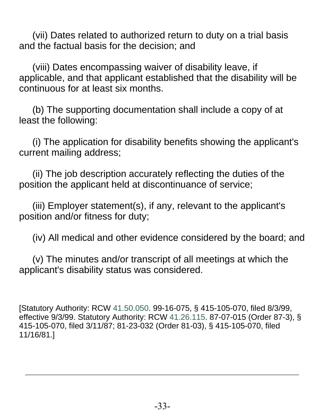(vii) Dates related to authorized return to duty on a trial basis and the factual basis for the decision; and

 (viii) Dates encompassing waiver of disability leave, if applicable, and that applicant established that the disability will be continuous for at least six months.

 (b) The supporting documentation shall include a copy of at least the following:

 (i) The application for disability benefits showing the applicant's current mailing address;

 (ii) The job description accurately reflecting the duties of the position the applicant held at discontinuance of service;

 (iii) Employer statement(s), if any, relevant to the applicant's position and/or fitness for duty;

(iv) All medical and other evidence considered by the board; and

 (v) The minutes and/or transcript of all meetings at which the applicant's disability status was considered.

[Statutory Authority: RCW 41.50.050. 99-16-075, § 415-105-070, filed 8/3/99, effective 9/3/99. Statutory Authority: RCW 41.26.115. 87-07-015 (Order 87-3), § 415-105-070, filed 3/11/87; 81-23-032 (Order 81-03), § 415-105-070, filed 11/16/81.]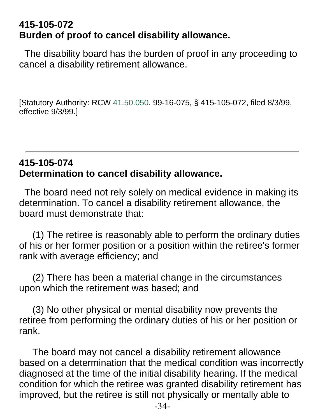#### **415-105-072 Burden of proof to cancel disability allowance.**

 The disability board has the burden of proof in any proceeding to cancel a disability retirement allowance.

[Statutory Authority: RCW 41.50.050. 99-16-075, § 415-105-072, filed 8/3/99, effective 9/3/99.]

#### **415-105-074 Determination to cancel disability allowance.**

 The board need not rely solely on medical evidence in making its determination. To cancel a disability retirement allowance, the board must demonstrate that:

 (1) The retiree is reasonably able to perform the ordinary duties of his or her former position or a position within the retiree's former rank with average efficiency; and

 (2) There has been a material change in the circumstances upon which the retirement was based; and

 (3) No other physical or mental disability now prevents the retiree from performing the ordinary duties of his or her position or rank.

 The board may not cancel a disability retirement allowance based on a determination that the medical condition was incorrectly diagnosed at the time of the initial disability hearing. If the medical condition for which the retiree was granted disability retirement has improved, but the retiree is still not physically or mentally able to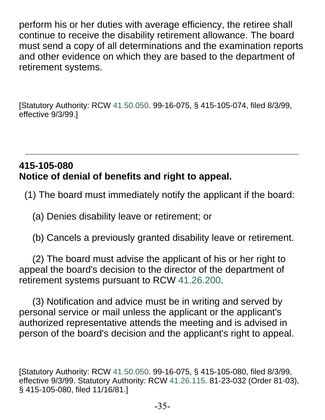perform his or her duties with average efficiency, the retiree shall continue to receive the disability retirement allowance. The board must send a copy of all determinations and the examination reports and other evidence on which they are based to the department of retirement systems.

[Statutory Authority: RCW 41.50.050. 99-16-075, § 415-105-074, filed 8/3/99, effective 9/3/99.]

#### **415-105-080 Notice of denial of benefits and right to appeal.**

(1) The board must immediately notify the applicant if the board:

(a) Denies disability leave or retirement; or

(b) Cancels a previously granted disability leave or retirement.

 (2) The board must advise the applicant of his or her right to appeal the board's decision to the director of the department of retirement systems pursuant to RCW 41.26.200.

 (3) Notification and advice must be in writing and served by personal service or mail unless the applicant or the applicant's authorized representative attends the meeting and is advised in person of the board's decision and the applicant's right to appeal.

[Statutory Authority: RCW 41.50.050. 99-16-075, § 415-105-080, filed 8/3/99, effective 9/3/99. Statutory Authority: RCW 41.26.115. 81-23-032 (Order 81-03), § 415-105-080, filed 11/16/81.]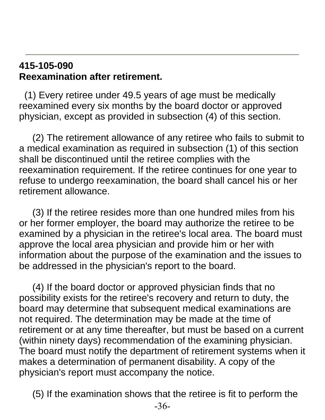#### **415-105-090 Reexamination after retirement.**

 (1) Every retiree under 49.5 years of age must be medically reexamined every six months by the board doctor or approved physician, except as provided in subsection (4) of this section.

 (2) The retirement allowance of any retiree who fails to submit to a medical examination as required in subsection (1) of this section shall be discontinued until the retiree complies with the reexamination requirement. If the retiree continues for one year to refuse to undergo reexamination, the board shall cancel his or her retirement allowance.

 (3) If the retiree resides more than one hundred miles from his or her former employer, the board may authorize the retiree to be examined by a physician in the retiree's local area. The board must approve the local area physician and provide him or her with information about the purpose of the examination and the issues to be addressed in the physician's report to the board.

 (4) If the board doctor or approved physician finds that no possibility exists for the retiree's recovery and return to duty, the board may determine that subsequent medical examinations are not required. The determination may be made at the time of retirement or at any time thereafter, but must be based on a current (within ninety days) recommendation of the examining physician. The board must notify the department of retirement systems when it makes a determination of permanent disability. A copy of the physician's report must accompany the notice.

(5) If the examination shows that the retiree is fit to perform the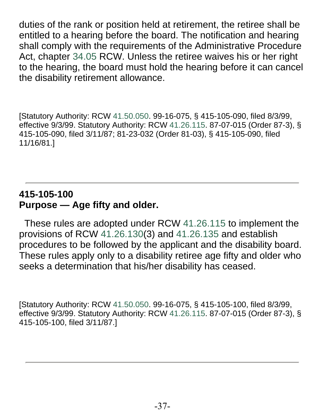duties of the rank or position held at retirement, the retiree shall be entitled to a hearing before the board. The notification and hearing shall comply with the requirements of the Administrative Procedure Act, chapter 34.05 RCW. Unless the retiree waives his or her right to the hearing, the board must hold the hearing before it can cancel the disability retirement allowance.

[Statutory Authority: RCW 41.50.050. 99-16-075, § 415-105-090, filed 8/3/99, effective 9/3/99. Statutory Authority: RCW 41.26.115. 87-07-015 (Order 87-3), § 415-105-090, filed 3/11/87; 81-23-032 (Order 81-03), § 415-105-090, filed 11/16/81.]

#### **415-105-100 Purpose — Age fifty and older.**

 These rules are adopted under RCW 41.26.115 to implement the provisions of RCW 41.26.130(3) and 41.26.135 and establish procedures to be followed by the applicant and the disability board. These rules apply only to a disability retiree age fifty and older who seeks a determination that his/her disability has ceased.

[Statutory Authority: RCW 41.50.050. 99-16-075, § 415-105-100, filed 8/3/99, effective 9/3/99. Statutory Authority: RCW 41.26.115. 87-07-015 (Order 87-3), § 415-105-100, filed 3/11/87.]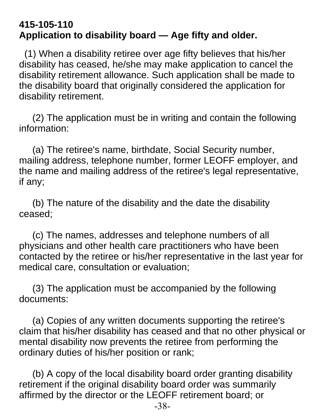#### **415-105-110 Application to disability board — Age fifty and older.**

 (1) When a disability retiree over age fifty believes that his/her disability has ceased, he/she may make application to cancel the disability retirement allowance. Such application shall be made to the disability board that originally considered the application for disability retirement.

 (2) The application must be in writing and contain the following information:

 (a) The retiree's name, birthdate, Social Security number, mailing address, telephone number, former LEOFF employer, and the name and mailing address of the retiree's legal representative, if any;

 (b) The nature of the disability and the date the disability ceased;

 (c) The names, addresses and telephone numbers of all physicians and other health care practitioners who have been contacted by the retiree or his/her representative in the last year for medical care, consultation or evaluation;

 (3) The application must be accompanied by the following documents:

 (a) Copies of any written documents supporting the retiree's claim that his/her disability has ceased and that no other physical or mental disability now prevents the retiree from performing the ordinary duties of his/her position or rank;

 (b) A copy of the local disability board order granting disability retirement if the original disability board order was summarily affirmed by the director or the LEOFF retirement board; or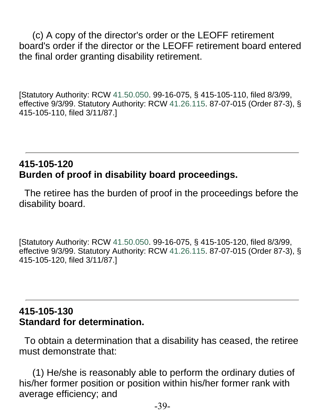(c) A copy of the director's order or the LEOFF retirement board's order if the director or the LEOFF retirement board entered the final order granting disability retirement.

[Statutory Authority: RCW 41.50.050. 99-16-075, § 415-105-110, filed 8/3/99, effective 9/3/99. Statutory Authority: RCW 41.26.115. 87-07-015 (Order 87-3), § 415-105-110, filed 3/11/87.]

#### **415-105-120 Burden of proof in disability board proceedings.**

 The retiree has the burden of proof in the proceedings before the disability board.

[Statutory Authority: RCW 41.50.050. 99-16-075, § 415-105-120, filed 8/3/99, effective 9/3/99. Statutory Authority: RCW 41.26.115. 87-07-015 (Order 87-3), § 415-105-120, filed 3/11/87.]

#### **415-105-130 Standard for determination.**

 To obtain a determination that a disability has ceased, the retiree must demonstrate that:

 (1) He/she is reasonably able to perform the ordinary duties of his/her former position or position within his/her former rank with average efficiency; and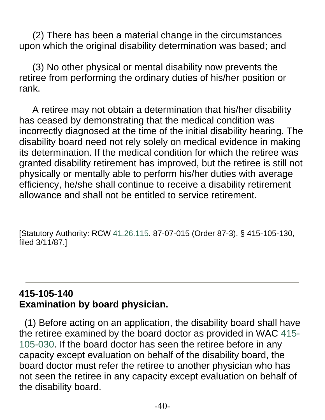(2) There has been a material change in the circumstances upon which the original disability determination was based; and

 (3) No other physical or mental disability now prevents the retiree from performing the ordinary duties of his/her position or rank.

 A retiree may not obtain a determination that his/her disability has ceased by demonstrating that the medical condition was incorrectly diagnosed at the time of the initial disability hearing. The disability board need not rely solely on medical evidence in making its determination. If the medical condition for which the retiree was granted disability retirement has improved, but the retiree is still not physically or mentally able to perform his/her duties with average efficiency, he/she shall continue to receive a disability retirement allowance and shall not be entitled to service retirement.

[Statutory Authority: RCW 41.26.115. 87-07-015 (Order 87-3), § 415-105-130, filed 3/11/87.]

#### **415-105-140 Examination by board physician.**

 (1) Before acting on an application, the disability board shall have the retiree examined by the board doctor as provided in WAC 415- 105-030. If the board doctor has seen the retiree before in any capacity except evaluation on behalf of the disability board, the board doctor must refer the retiree to another physician who has not seen the retiree in any capacity except evaluation on behalf of the disability board.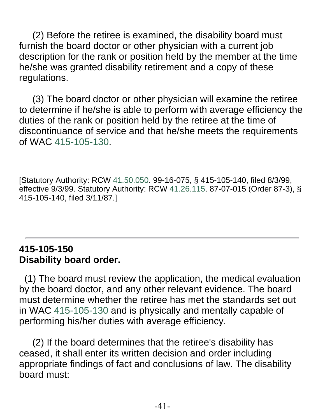(2) Before the retiree is examined, the disability board must furnish the board doctor or other physician with a current job description for the rank or position held by the member at the time he/she was granted disability retirement and a copy of these regulations.

 (3) The board doctor or other physician will examine the retiree to determine if he/she is able to perform with average efficiency the duties of the rank or position held by the retiree at the time of discontinuance of service and that he/she meets the requirements of WAC 415-105-130.

[Statutory Authority: RCW 41.50.050. 99-16-075, § 415-105-140, filed 8/3/99, effective 9/3/99. Statutory Authority: RCW 41.26.115. 87-07-015 (Order 87-3), § 415-105-140, filed 3/11/87.]

#### **415-105-150 Disability board order.**

 (1) The board must review the application, the medical evaluation by the board doctor, and any other relevant evidence. The board must determine whether the retiree has met the standards set out in WAC 415-105-130 and is physically and mentally capable of performing his/her duties with average efficiency.

 (2) If the board determines that the retiree's disability has ceased, it shall enter its written decision and order including appropriate findings of fact and conclusions of law. The disability board must: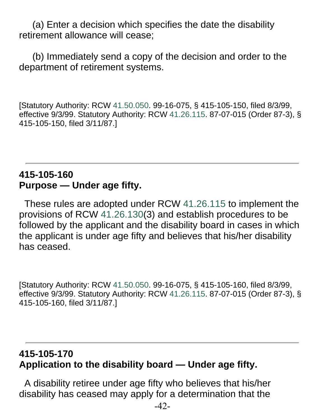(a) Enter a decision which specifies the date the disability retirement allowance will cease;

 (b) Immediately send a copy of the decision and order to the department of retirement systems.

[Statutory Authority: RCW 41.50.050. 99-16-075, § 415-105-150, filed 8/3/99, effective 9/3/99. Statutory Authority: RCW 41.26.115. 87-07-015 (Order 87-3), § 415-105-150, filed 3/11/87.]

#### **415-105-160 Purpose — Under age fifty.**

 These rules are adopted under RCW 41.26.115 to implement the provisions of RCW 41.26.130(3) and establish procedures to be followed by the applicant and the disability board in cases in which the applicant is under age fifty and believes that his/her disability has ceased.

[Statutory Authority: RCW 41.50.050. 99-16-075, § 415-105-160, filed 8/3/99, effective 9/3/99. Statutory Authority: RCW 41.26.115. 87-07-015 (Order 87-3), § 415-105-160, filed 3/11/87.]

#### **415-105-170 Application to the disability board — Under age fifty.**

 A disability retiree under age fifty who believes that his/her disability has ceased may apply for a determination that the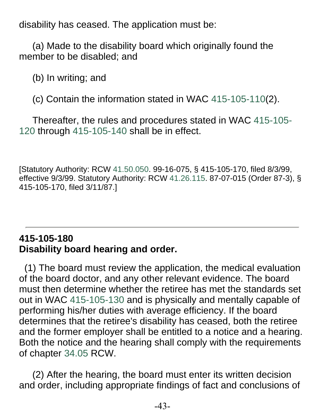disability has ceased. The application must be:

 (a) Made to the disability board which originally found the member to be disabled; and

(b) In writing; and

(c) Contain the information stated in WAC 415-105-110(2).

 Thereafter, the rules and procedures stated in WAC 415-105- 120 through 415-105-140 shall be in effect.

[Statutory Authority: RCW 41.50.050. 99-16-075, § 415-105-170, filed 8/3/99, effective 9/3/99. Statutory Authority: RCW 41.26.115. 87-07-015 (Order 87-3), § 415-105-170, filed 3/11/87.]

#### **415-105-180 Disability board hearing and order.**

 (1) The board must review the application, the medical evaluation of the board doctor, and any other relevant evidence. The board must then determine whether the retiree has met the standards set out in WAC 415-105-130 and is physically and mentally capable of performing his/her duties with average efficiency. If the board determines that the retiree's disability has ceased, both the retiree and the former employer shall be entitled to a notice and a hearing. Both the notice and the hearing shall comply with the requirements of chapter 34.05 RCW.

 (2) After the hearing, the board must enter its written decision and order, including appropriate findings of fact and conclusions of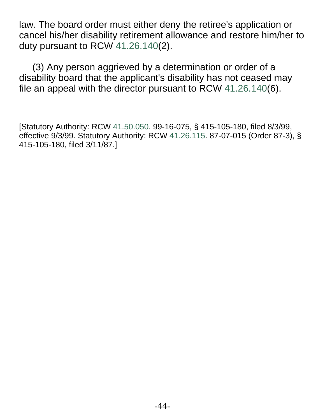law. The board order must either deny the retiree's application or cancel his/her disability retirement allowance and restore him/her to duty pursuant to RCW 41.26.140(2).

 (3) Any person aggrieved by a determination or order of a disability board that the applicant's disability has not ceased may file an appeal with the director pursuant to RCW 41.26.140(6).

[Statutory Authority: RCW 41.50.050. 99-16-075, § 415-105-180, filed 8/3/99, effective 9/3/99. Statutory Authority: RCW 41.26.115. 87-07-015 (Order 87-3), § 415-105-180, filed 3/11/87.]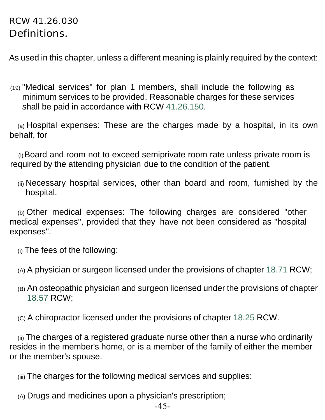#### RCW 41.26.030 Definitions.

As used in this chapter, unless a different meaning is plainly required by the context:

(19) "Medical services" for plan 1 members, shall include the following as minimum services to be provided. Reasonable charges for these services shall be paid in accordance with RCW 41.26.150.

(a) Hospital expenses: These are the charges made by a hospital, in its own behalf, for

(i)Board and room not to exceed semiprivate room rate unless private room is required by the attending physician due to the condition of the patient.

(ii) Necessary hospital services, other than board and room, furnished by the hospital.

(b) Other medical expenses: The following charges are considered "other medical expenses", provided that they have not been considered as "hospital expenses".

- (i) The fees of the following:
- (A) A physician or surgeon licensed under the provisions of chapter 18.71 RCW;
- (B) An osteopathic physician and surgeon licensed under the provisions of chapter 18.57 RCW;
- (C) A chiropractor licensed under the provisions of chapter 18.25 RCW.

(ii) The charges of a registered graduate nurse other than a nurse who ordinarily resides in the member's home, or is a member of the family of either the member or the member's spouse.

- (iii) The charges for the following medical services and supplies:
- (A) Drugs and medicines upon a physician's prescription;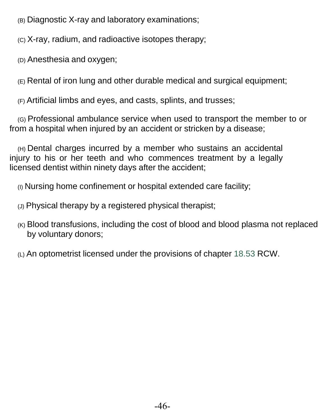(B) Diagnostic X-ray and laboratory examinations;

(C) X-ray, radium, and radioactive isotopes therapy;

(D) Anesthesia and oxygen;

(E) Rental of iron lung and other durable medical and surgical equipment;

(F) Artificial limbs and eyes, and casts, splints, and trusses;

(G) Professional ambulance service when used to transport the member to or from a hospital when injured by an accident or stricken by a disease;

(H) Dental charges incurred by a member who sustains an accidental injury to his or her teeth and who commences treatment by a legally licensed dentist within ninety days after the accident;

(I) Nursing home confinement or hospital extended care facility;

(J) Physical therapy by a registered physical therapist;

(K) Blood transfusions, including the cost of blood and blood plasma not replaced by voluntary donors;

(L) An optometrist licensed under the provisions of chapter 18.53 RCW.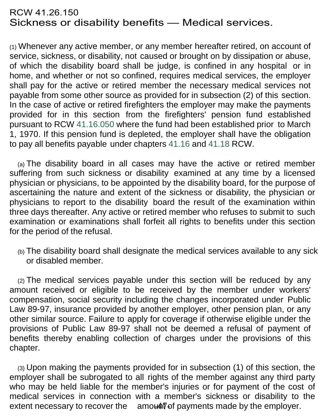#### RCW 41.26.150 Sickness or disability benefits — Medical services.

(1) Whenever any active member, or any member hereafter retired, on account of service, sickness, or disability, not caused or brought on by dissipation or abuse, of which the disability board shall be judge, is confined in any hospital or in home, and whether or not so confined, requires medical services, the employer shall pay for the active or retired member the necessary medical services not payable from some other source as provided for in subsection (2) of this section. In the case of active or retired firefighters the employer may make the payments provided for in this section from the firefighters' pension fund established pursuant to RCW 41.16.050 where the fund had been established prior to March 1, 1970. If this pension fund is depleted, the employer shall have the obligation to pay all benefits payable under chapters 41.16 and 41.18 RCW.

(a) The disability board in all cases may have the active or retired member suffering from such sickness or disability examined at any time by a licensed physician or physicians, to be appointed by the disability board, for the purpose of ascertaining the nature and extent of the sickness or disability, the physician or physicians to report to the disability board the result of the examination within three days thereafter. Any active or retired member who refuses to submit to such examination or examinations shall forfeit all rights to benefits under this section for the period of the refusal.

(b) The disability board shall designate the medical services available to any sick or disabled member.

(2) The medical services payable under this section will be reduced by any amount received or eligible to be received by the member under workers' compensation, social security including the changes incorporated under Public Law 89-97, insurance provided by another employer, other pension plan, or any other similar source. Failure to apply for coverage if otherwise eligible under the provisions of Public Law 89-97 shall not be deemed a refusal of payment of benefits thereby enabling collection of charges under the provisions of this chapter.

(3) Upon making the payments provided for in subsection (1) of this section, the employer shall be subrogated to all rights of the member against any third party who may be held liable for the member's injuries or for payment of the cost of medical services in connection with a member's sickness or disability to the extent necessary to recover the  $\quad$  amou for payments made by the employer.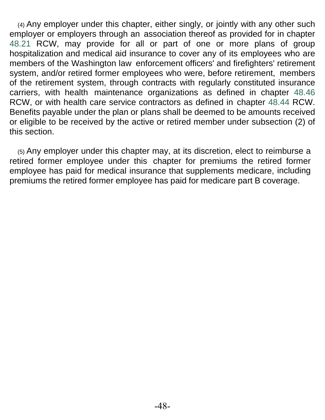(4) Any employer under this chapter, either singly, or jointly with any other such employer or employers through an association thereof as provided for in chapter 48.21 RCW, may provide for all or part of one or more plans of group hospitalization and medical aid insurance to cover any of its employees who are members of the Washington law enforcement officers' and firefighters' retirement system, and/or retired former employees who were, before retirement, members of the retirement system, through contracts with regularly constituted insurance carriers, with health maintenance organizations as defined in chapter 48.46 RCW, or with health care service contractors as defined in chapter 48.44 RCW. Benefits payable under the plan or plans shall be deemed to be amounts received or eligible to be received by the active or retired member under subsection (2) of this section.

(5) Any employer under this chapter may, at its discretion, elect to reimburse a retired former employee under this chapter for premiums the retired former employee has paid for medical insurance that supplements medicare, including premiums the retired former employee has paid for medicare part B coverage.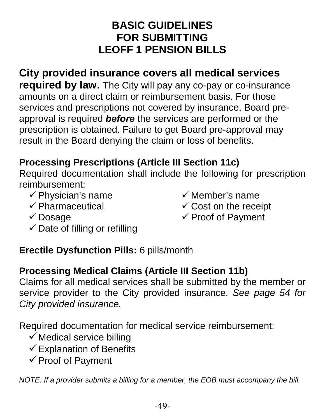# **BASIC GUIDELINES FOR SUBMITTING LEOFF 1 PENSION BILLS**

# **City provided insurance covers all medical services**

**required by law.** The City will pay any co-pay or co-insurance amounts on a direct claim or reimbursement basis. For those services and prescriptions not covered by insurance, Board preapproval is required *before* the services are performed or the prescription is obtained. Failure to get Board pre-approval may result in the Board denying the claim or loss of benefits.

# **Processing Prescriptions (Article III Section 11c)**

Required documentation shall include the following for prescription reimbursement:

- $\checkmark$  Physician's name
- $\checkmark$  Pharmaceutical
- $\checkmark$  Member's name
- $\checkmark$  Cost on the receipt

Dosage

- $\checkmark$  Proof of Payment
- $\checkmark$  Date of filling or refilling

#### **Erectile Dysfunction Pills:** 6 pills/month

#### **Processing Medical Claims (Article III Section 11b)**

Claims for all medical services shall be submitted by the member or service provider to the City provided insurance. *See page 54 for City provided insurance.*

Required documentation for medical service reimbursement:

- $\checkmark$  Medical service billing
- $\checkmark$  Explanation of Benefits
- $\checkmark$  Proof of Payment

*NOTE: If a provider submits a billing for a member, the EOB must accompany the bill.*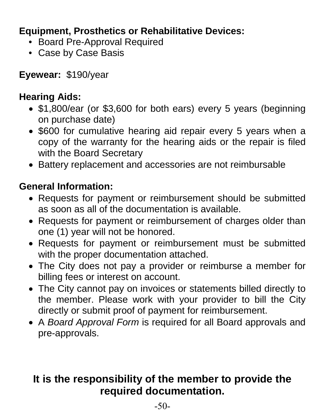### **Equipment, Prosthetics or Rehabilitative Devices:**

- Board Pre-Approval Required
- Case by Case Basis

**Eyewear:** \$190/year

#### **Hearing Aids:**

- \$1,800/ear (or \$3,600 for both ears) every 5 years (beginning on purchase date)
- \$600 for cumulative hearing aid repair every 5 years when a copy of the warranty for the hearing aids or the repair is filed with the Board Secretary
- Battery replacement and accessories are not reimbursable

#### **General Information:**

- Requests for payment or reimbursement should be submitted as soon as all of the documentation is available.
- Requests for payment or reimbursement of charges older than one (1) year will not be honored.
- Requests for payment or reimbursement must be submitted with the proper documentation attached.
- The City does not pay a provider or reimburse a member for billing fees or interest on account.
- The City cannot pay on invoices or statements billed directly to the member. Please work with your provider to bill the City directly or submit proof of payment for reimbursement.
- A *Board Approval Form* is required for all Board approvals and pre-approvals.

# **It is the responsibility of the member to provide the required documentation.**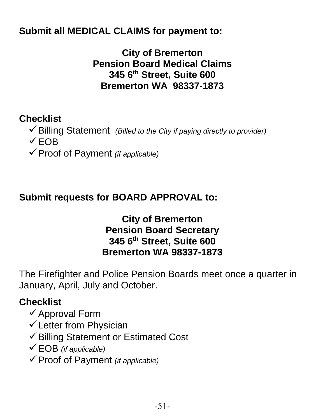#### **Submit all MEDICAL CLAIMS for payment to:**

**City of Bremerton Pension Board Medical Claims 345 6th Street, Suite 600 Bremerton WA 98337-1873**

#### **Checklist**

- Billing Statement *(Billed to the City if paying directly to provider)*
- $\sqrt{FOB}$
- Proof of Payment *(if applicable)*

#### **Submit requests for BOARD APPROVAL to:**

#### **City of Bremerton Pension Board Secretary 345 6th Street, Suite 600 Bremerton WA 98337-1873**

The Firefighter and Police Pension Boards meet once a quarter in January, April, July and October.

#### **Checklist**

- $\checkmark$  Approval Form
- $\checkmark$  Letter from Physician
- Billing Statement or Estimated Cost
- EOB *(if applicable)*
- Proof of Payment *(if applicable)*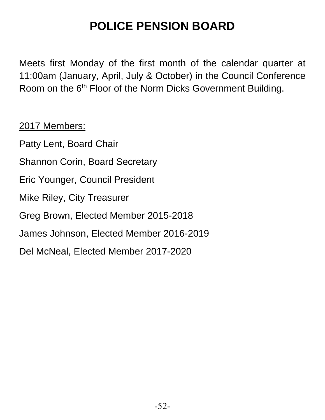# **POLICE PENSION BOARD**

Meets first Monday of the first month of the calendar quarter at 11:00am (January, April, July & October) in the Council Conference Room on the 6<sup>th</sup> Floor of the Norm Dicks Government Building.

2017 Members:

Patty Lent, Board Chair Shannon Corin, Board Secretary Eric Younger, Council President Mike Riley, City Treasurer Greg Brown, Elected Member 2015-2018 James Johnson, Elected Member 2016-2019 Del McNeal, Elected Member 2017-2020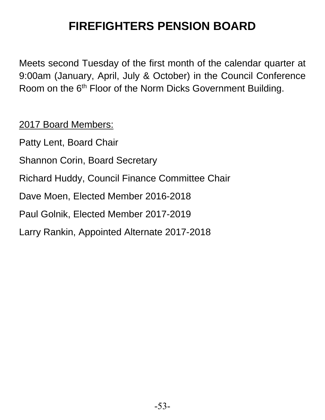# **FIREFIGHTERS PENSION BOARD**

Meets second Tuesday of the first month of the calendar quarter at 9:00am (January, April, July & October) in the Council Conference Room on the 6<sup>th</sup> Floor of the Norm Dicks Government Building.

2017 Board Members:

Patty Lent, Board Chair Shannon Corin, Board Secretary Richard Huddy, Council Finance Committee Chair Dave Moen, Elected Member 2016-2018 Paul Golnik, Elected Member 2017-2019 Larry Rankin, Appointed Alternate 2017-2018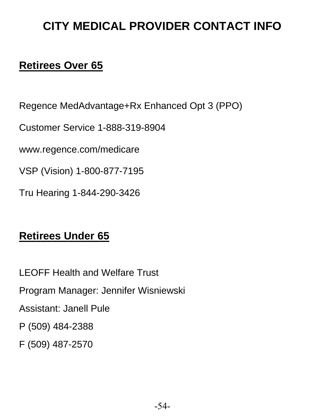# **CITY MEDICAL PROVIDER CONTACT INFO**

# **Retirees Over 65**

Regence MedAdvantage+Rx Enhanced Opt 3 (PPO)

Customer Service 1-888-319-8904

www.regence.com/medicare

VSP (Vision) 1-800-877-7195

Tru Hearing 1-844-290-3426

### **Retirees Under 65**

LEOFF Health and Welfare Trust Program Manager: Jennifer Wisniewski Assistant: Janell Pule P (509) 484-2388 F (509) 487-2570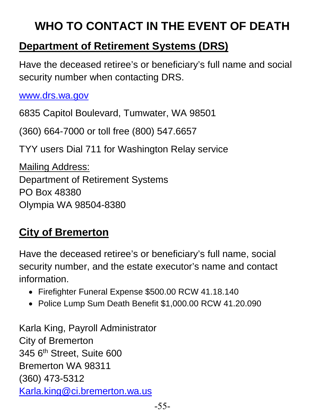# **WHO TO CONTACT IN THE EVENT OF DEATH**

# **Department of Retirement Systems (DRS)**

Have the deceased retiree's or beneficiary's full name and social security number when contacting DRS.

[www.drs.wa.gov](http://www.drs.wa.gov/)

6835 Capitol Boulevard, Tumwater, WA 98501

(360) 664-7000 or toll free (800) 547.6657

TYY users Dial 711 for Washington Relay service

Mailing Address: Department of Retirement Systems PO Box 48380 Olympia WA 98504-8380

# **City of Bremerton**

Have the deceased retiree's or beneficiary's full name, social security number, and the estate executor's name and contact information.

- Firefighter Funeral Expense \$500.00 RCW 41.18.140
- Police Lump Sum Death Benefit \$1,000.00 RCW 41.20.090

Karla King, Payroll Administrator City of Bremerton 345 6<sup>th</sup> Street, Suite 600 Bremerton WA 98311 (360) 473-5312 [Karla.king@ci.bremerton.wa.us](mailto:Karla.king@ci.bremerton.wa.us)